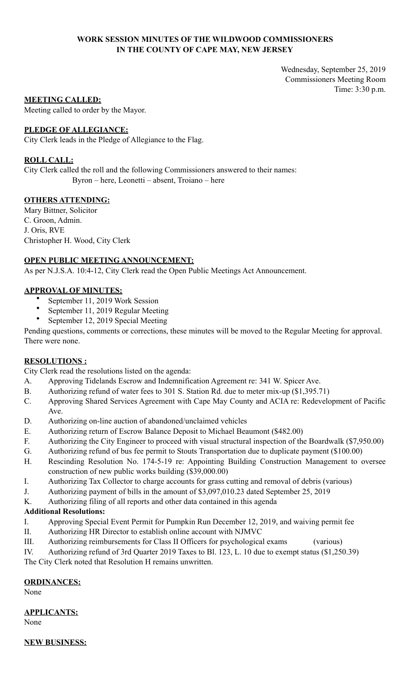## **WORK SESSION MINUTES OF THE WILDWOOD COMMISSIONERS IN THE COUNTY OF CAPE MAY, NEW JERSEY**

Wednesday, September 25, 2019 Commissioners Meeting Room Time: 3:30 p.m.

### **MEETING CALLED:**

Meeting called to order by the Mayor.

## **PLEDGE OF ALLEGIANCE:**

City Clerk leads in the Pledge of Allegiance to the Flag.

## **ROLL CALL:**

City Clerk called the roll and the following Commissioners answered to their names: Byron – here, Leonetti – absent, Troiano – here

## **OTHERS ATTENDING:**

Mary Bittner, Solicitor C. Groon, Admin. J. Oris, RVE Christopher H. Wood, City Clerk

## **OPEN PUBLIC MEETING ANNOUNCEMENT:**

As per N.J.S.A. 10:4-12, City Clerk read the Open Public Meetings Act Announcement.

## **APPROVAL OF MINUTES:**

- September 11, 2019 Work Session
- September 11, 2019 Regular Meeting
- September 12, 2019 Special Meeting

Pending questions, comments or corrections, these minutes will be moved to the Regular Meeting for approval. There were none.

# **RESOLUTIONS :**

City Clerk read the resolutions listed on the agenda:

- A. Approving Tidelands Escrow and Indemnification Agreement re: 341 W. Spicer Ave.
- B. Authorizing refund of water fees to 301 S. Station Rd. due to meter mix-up (\$1,395.71)
- C. Approving Shared Services Agreement with Cape May County and ACIA re: Redevelopment of Pacific Ave.
- D. Authorizing on-line auction of abandoned/unclaimed vehicles
- E. Authorizing return of Escrow Balance Deposit to Michael Beaumont (\$482.00)
- F. Authorizing the City Engineer to proceed with visual structural inspection of the Boardwalk (\$7,950.00)
- G. Authorizing refund of bus fee permit to Stouts Transportation due to duplicate payment (\$100.00)
- H. Rescinding Resolution No. 174-5-19 re: Appointing Building Construction Management to oversee construction of new public works building (\$39,000.00)
- I. Authorizing Tax Collector to charge accounts for grass cutting and removal of debris (various)
- J. Authorizing payment of bills in the amount of \$3,097,010.23 dated September 25, 2019
- K. Authorizing filing of all reports and other data contained in this agenda

# **Additional Resolutions:**

- I. Approving Special Event Permit for Pumpkin Run December 12, 2019, and waiving permit fee
- II. Authorizing HR Director to establish online account with NJMVC
- III. Authorizing reimbursements for Class II Officers for psychological exams (various)

IV. Authorizing refund of 3rd Quarter 2019 Taxes to Bl. 123, L. 10 due to exempt status (\$1,250.39) The City Clerk noted that Resolution H remains unwritten.

### **ORDINANCES:**

None

# **APPLICANTS:**

None

**NEW BUSINESS:**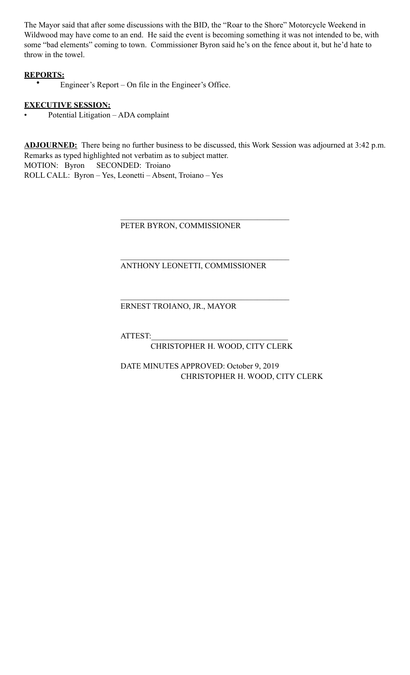The Mayor said that after some discussions with the BID, the "Roar to the Shore" Motorcycle Weekend in Wildwood may have come to an end. He said the event is becoming something it was not intended to be, with some "bad elements" coming to town. Commissioner Byron said he's on the fence about it, but he'd hate to throw in the towel.

# **REPORTS:**

• Engineer's Report – On file in the Engineer's Office.

# **EXECUTIVE SESSION:**

• Potential Litigation – ADA complaint

**ADJOURNED:** There being no further business to be discussed, this Work Session was adjourned at 3:42 p.m. Remarks as typed highlighted not verbatim as to subject matter. MOTION: Byron SECONDED: Troiano ROLL CALL: Byron – Yes, Leonetti – Absent, Troiano – Yes

PETER BYRON, COMMISSIONER

 $\mathcal{L}_\mathcal{L} = \mathcal{L}_\mathcal{L} = \mathcal{L}_\mathcal{L} = \mathcal{L}_\mathcal{L} = \mathcal{L}_\mathcal{L} = \mathcal{L}_\mathcal{L} = \mathcal{L}_\mathcal{L} = \mathcal{L}_\mathcal{L} = \mathcal{L}_\mathcal{L} = \mathcal{L}_\mathcal{L} = \mathcal{L}_\mathcal{L} = \mathcal{L}_\mathcal{L} = \mathcal{L}_\mathcal{L} = \mathcal{L}_\mathcal{L} = \mathcal{L}_\mathcal{L} = \mathcal{L}_\mathcal{L} = \mathcal{L}_\mathcal{L}$ 

 $\mathcal{L}_\mathcal{L} = \mathcal{L}_\mathcal{L} = \mathcal{L}_\mathcal{L} = \mathcal{L}_\mathcal{L} = \mathcal{L}_\mathcal{L} = \mathcal{L}_\mathcal{L} = \mathcal{L}_\mathcal{L} = \mathcal{L}_\mathcal{L} = \mathcal{L}_\mathcal{L} = \mathcal{L}_\mathcal{L} = \mathcal{L}_\mathcal{L} = \mathcal{L}_\mathcal{L} = \mathcal{L}_\mathcal{L} = \mathcal{L}_\mathcal{L} = \mathcal{L}_\mathcal{L} = \mathcal{L}_\mathcal{L} = \mathcal{L}_\mathcal{L}$ 

 $\mathcal{L}_\mathcal{L} = \mathcal{L}_\mathcal{L} = \mathcal{L}_\mathcal{L} = \mathcal{L}_\mathcal{L} = \mathcal{L}_\mathcal{L} = \mathcal{L}_\mathcal{L} = \mathcal{L}_\mathcal{L} = \mathcal{L}_\mathcal{L} = \mathcal{L}_\mathcal{L} = \mathcal{L}_\mathcal{L} = \mathcal{L}_\mathcal{L} = \mathcal{L}_\mathcal{L} = \mathcal{L}_\mathcal{L} = \mathcal{L}_\mathcal{L} = \mathcal{L}_\mathcal{L} = \mathcal{L}_\mathcal{L} = \mathcal{L}_\mathcal{L}$ 

# ANTHONY LEONETTI, COMMISSIONER

# ERNEST TROIANO, JR., MAYOR

ATTEST:\_\_\_\_\_\_\_\_\_\_\_\_\_\_\_\_\_\_\_\_\_\_\_\_\_\_\_\_\_\_\_\_\_\_

CHRISTOPHER H. WOOD, CITY CLERK

 DATE MINUTES APPROVED: October 9, 2019 CHRISTOPHER H. WOOD, CITY CLERK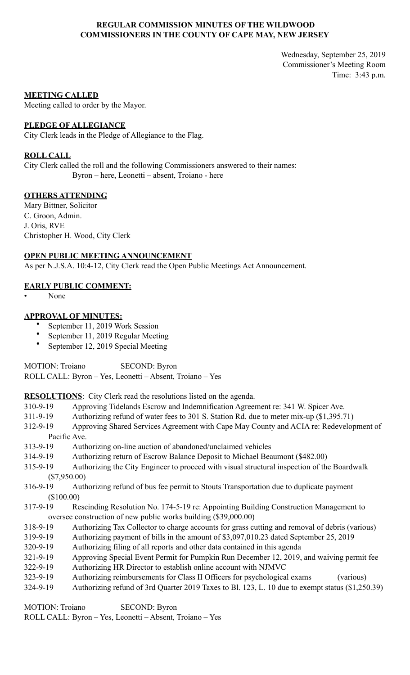## **REGULAR COMMISSION MINUTES OF THE WILDWOOD COMMISSIONERS IN THE COUNTY OF CAPE MAY, NEW JERSEY**

Wednesday, September 25, 2019 Commissioner's Meeting Room Time: 3:43 p.m.

#### **MEETING CALLED**

Meeting called to order by the Mayor.

#### **PLEDGE OF ALLEGIANCE**

City Clerk leads in the Pledge of Allegiance to the Flag.

### **ROLL CALL**

City Clerk called the roll and the following Commissioners answered to their names: Byron – here, Leonetti – absent, Troiano - here

#### **OTHERS ATTENDING**

Mary Bittner, Solicitor C. Groon, Admin. J. Oris, RVE Christopher H. Wood, City Clerk

#### **OPEN PUBLIC MEETING ANNOUNCEMENT**

As per N.J.S.A. 10:4-12, City Clerk read the Open Public Meetings Act Announcement.

### **EARLY PUBLIC COMMENT:**

• None

## **APPROVAL OF MINUTES:**

- September 11, 2019 Work Session
- September 11, 2019 Regular Meeting
- September 12, 2019 Special Meeting

MOTION: Troiano SECOND: Byron

ROLL CALL: Byron – Yes, Leonetti – Absent, Troiano – Yes

**RESOLUTIONS**: City Clerk read the resolutions listed on the agenda.

- 310-9-19 Approving Tidelands Escrow and Indemnification Agreement re: 341 W. Spicer Ave.
- 311-9-19 Authorizing refund of water fees to 301 S. Station Rd. due to meter mix-up (\$1,395.71)
- 312-9-19 Approving Shared Services Agreement with Cape May County and ACIA re: Redevelopment of Pacific Ave.
- 313-9-19 Authorizing on-line auction of abandoned/unclaimed vehicles
- 314-9-19 Authorizing return of Escrow Balance Deposit to Michael Beaumont (\$482.00)
- 315-9-19 Authorizing the City Engineer to proceed with visual structural inspection of the Boardwalk (\$7,950.00)
- 316-9-19 Authorizing refund of bus fee permit to Stouts Transportation due to duplicate payment (\$100.00)
- 317-9-19 Rescinding Resolution No. 174-5-19 re: Appointing Building Construction Management to oversee construction of new public works building (\$39,000.00)
- 318-9-19 Authorizing Tax Collector to charge accounts for grass cutting and removal of debris (various)
- 319-9-19 Authorizing payment of bills in the amount of \$3,097,010.23 dated September 25, 2019
- 320-9-19 Authorizing filing of all reports and other data contained in this agenda
- 321-9-19 Approving Special Event Permit for Pumpkin Run December 12, 2019, and waiving permit fee
- 322-9-19 Authorizing HR Director to establish online account with NJMVC
- 323-9-19 Authorizing reimbursements for Class II Officers for psychological exams (various)
- 324-9-19 Authorizing refund of 3rd Quarter 2019 Taxes to Bl. 123, L. 10 due to exempt status (\$1,250.39)

MOTION: Troiano SECOND: Byron ROLL CALL: Byron – Yes, Leonetti – Absent, Troiano – Yes